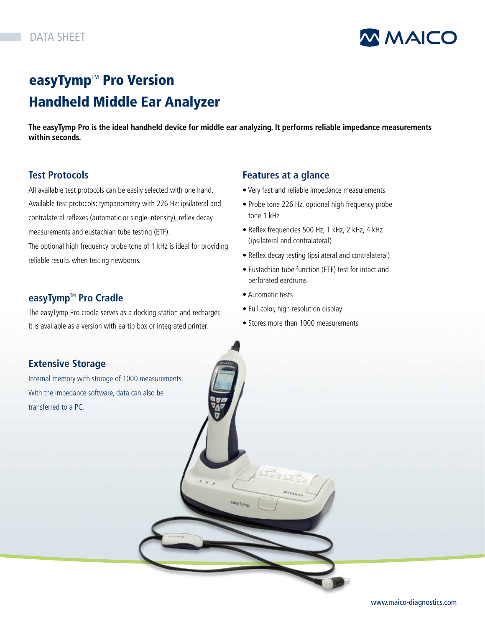

## easyTymp<sup>™</sup> Pro Version Handheld Middle Ear Analyzer

**The easyTymp Pro is the ideal handheld device for middle ear analyzing. It performs reliable impedance measurements within seconds.**

### **Test Protocols**

All available test protocols can be easily selected with one hand. Available test protocols: tympanometry with 226 Hz; ipsilateral and contralateral reflexes (automatic or single intensity), reflex decay measurements and eustachian tube testing (ETF).

The optional high frequency probe tone of 1 kHz is ideal for providing reliable results when testing newborns.

### **easyTymp™** Pro Cradle

The easyTymp Pro cradle serves as a docking station and recharger. It is available as a version with eartip box or integrated printer.

### **Features at a glance**

- Very fast and reliable impedance measurements
- Probe tone 226 Hz, optional high frequency probe tone 1 kHz
- Reflex frequencies 500 Hz, 1 kHz, 2 kHz, 4 kHz (ipsilateral and contralateral)
- Reflex decay testing (ipsilateral and contralateral)
- Eustachian tube function (ETF) test for intact and perforated eardrums
- Automatic tests
- Full color, high resolution display
- Stores more than 1000 measurements

### **Extensive Storage**

Internal memory with storage of 1000 measurements. With the impedance software, data can also be transferred to a PC.